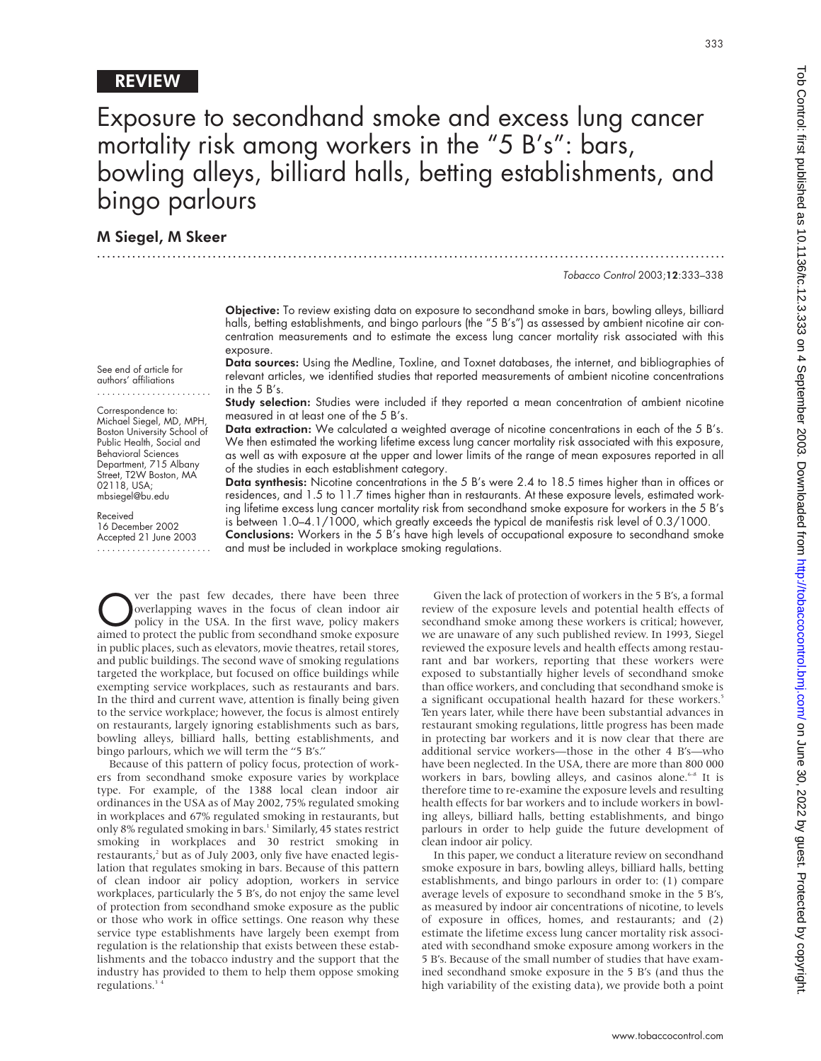# REVIEW

# Exposure to secondhand smoke and excess lung cancer mortality risk among workers in the "5 B's": bars, bowling alleys, billiard halls, betting establishments, and bingo parlours

.............................................................................................................................

# M Siegel, M Skeer

Tobacco Control 2003;12:333–338

Objective: To review existing data on exposure to secondhand smoke in bars, bowling alleys, billiard halls, betting establishments, and bingo parlours (the "5 B's") as assessed by ambient nicotine air concentration measurements and to estimate the excess lung cancer mortality risk associated with this exposure.

Data sources: Using the Medline, Toxline, and Toxnet databases, the internet, and bibliographies of relevant articles, we identified studies that reported measurements of ambient nicotine concentrations in the 5 B's.

Study selection: Studies were included if they reported a mean concentration of ambient nicotine measured in at least one of the 5 B's.

Data extraction: We calculated a weighted average of nicotine concentrations in each of the 5 B's. We then estimated the working lifetime excess lung cancer mortality risk associated with this exposure, as well as with exposure at the upper and lower limits of the range of mean exposures reported in all of the studies in each establishment category.

Data synthesis: Nicotine concentrations in the 5 B's were 2.4 to 18.5 times higher than in offices or residences, and 1.5 to 11.7 times higher than in restaurants. At these exposure levels, estimated working lifetime excess lung cancer mortality risk from secondhand smoke exposure for workers in the 5 B's is between 1.0–4.1/1000, which greatly exceeds the typical de manifestis risk level of 0.3/1000.

Conclusions: Workers in the 5 B's have high levels of occupational exposure to secondhand smoke and must be included in workplace smoking regulations.

Over the past few decades, there have been three<br>poverlapping waves in the focus of clean indoor air<br>policy in the USA. In the first wave, policy makers<br>aimed to protect the public from secondband smoke exposure overlapping waves in the focus of clean indoor air policy in the USA. In the first wave, policy makers aimed to protect the public from secondhand smoke exposure in public places, such as elevators, movie theatres, retail stores, and public buildings. The second wave of smoking regulations targeted the workplace, but focused on office buildings while exempting service workplaces, such as restaurants and bars. In the third and current wave, attention is finally being given to the service workplace; however, the focus is almost entirely on restaurants, largely ignoring establishments such as bars, bowling alleys, billiard halls, betting establishments, and bingo parlours, which we will term the "5 B's."

Because of this pattern of policy focus, protection of workers from secondhand smoke exposure varies by workplace type. For example, of the 1388 local clean indoor air ordinances in the USA as of May 2002, 75% regulated smoking in workplaces and 67% regulated smoking in restaurants, but only 8% regulated smoking in bars.<sup>1</sup> Similarly, 45 states restrict smoking in workplaces and 30 restrict smoking in restaurants,<sup>2</sup> but as of July 2003, only five have enacted legislation that regulates smoking in bars. Because of this pattern of clean indoor air policy adoption, workers in service workplaces, particularly the 5 B's, do not enjoy the same level of protection from secondhand smoke exposure as the public or those who work in office settings. One reason why these service type establishments have largely been exempt from regulation is the relationship that exists between these establishments and the tobacco industry and the support that the industry has provided to them to help them oppose smoking regulations.<sup>3</sup>

Given the lack of protection of workers in the 5 B's, a formal review of the exposure levels and potential health effects of secondhand smoke among these workers is critical; however, we are unaware of any such published review. In 1993, Siegel reviewed the exposure levels and health effects among restaurant and bar workers, reporting that these workers were exposed to substantially higher levels of secondhand smoke than office workers, and concluding that secondhand smoke is a significant occupational health hazard for these workers.<sup>5</sup> Ten years later, while there have been substantial advances in restaurant smoking regulations, little progress has been made in protecting bar workers and it is now clear that there are additional service workers—those in the other 4 B's—who have been neglected. In the USA, there are more than 800 000 workers in bars, bowling alleys, and casinos alone. $6-8$  It is therefore time to re-examine the exposure levels and resulting health effects for bar workers and to include workers in bowling alleys, billiard halls, betting establishments, and bingo parlours in order to help guide the future development of clean indoor air policy.

In this paper, we conduct a literature review on secondhand smoke exposure in bars, bowling alleys, billiard halls, betting establishments, and bingo parlours in order to: (1) compare average levels of exposure to secondhand smoke in the 5 B's, as measured by indoor air concentrations of nicotine, to levels of exposure in offices, homes, and restaurants; and (2) estimate the lifetime excess lung cancer mortality risk associated with secondhand smoke exposure among workers in the 5 B's. Because of the small number of studies that have examined secondhand smoke exposure in the 5 B's (and thus the high variability of the existing data), we provide both a point

See end of article for authors' affiliations .......................

#### Correspondence to:

Michael Siegel, MD, MPH, Boston University School of Public Health, Social and Behavioral Sciences Department, 715 Albany Street, T2W Boston, MA 02118, USA; mbsiegel@bu.edu

Received 16 December 2002 Accepted 21 June 2003 .......................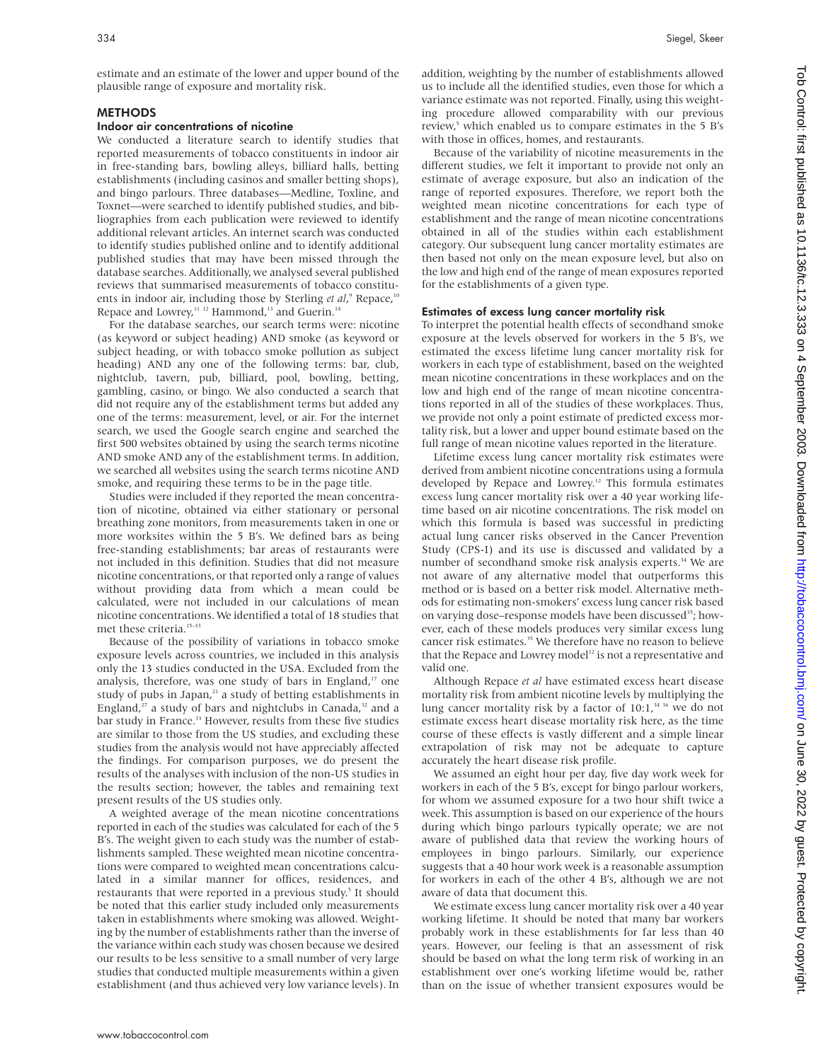estimate and an estimate of the lower and upper bound of the plausible range of exposure and mortality risk.

#### METHODS

## Indoor air concentrations of nicotine

We conducted a literature search to identify studies that reported measurements of tobacco constituents in indoor air in free-standing bars, bowling alleys, billiard halls, betting establishments (including casinos and smaller betting shops), and bingo parlours. Three databases—Medline, Toxline, and Toxnet—were searched to identify published studies, and bibliographies from each publication were reviewed to identify additional relevant articles. An internet search was conducted to identify studies published online and to identify additional published studies that may have been missed through the database searches. Additionally, we analysed several published reviews that summarised measurements of tobacco constituents in indoor air, including those by Sterling *et al*,<sup>9</sup> Repace,<sup>10</sup> Repace and Lowrey,<sup>11 12</sup> Hammond,<sup>13</sup> and Guerin.<sup>14</sup>

For the database searches, our search terms were: nicotine (as keyword or subject heading) AND smoke (as keyword or subject heading, or with tobacco smoke pollution as subject heading) AND any one of the following terms: bar, club, nightclub, tavern, pub, billiard, pool, bowling, betting, gambling, casino, or bingo. We also conducted a search that did not require any of the establishment terms but added any one of the terms: measurement, level, or air. For the internet search, we used the Google search engine and searched the first 500 websites obtained by using the search terms nicotine AND smoke AND any of the establishment terms. In addition, we searched all websites using the search terms nicotine AND smoke, and requiring these terms to be in the page title.

Studies were included if they reported the mean concentration of nicotine, obtained via either stationary or personal breathing zone monitors, from measurements taken in one or more worksites within the 5 B's. We defined bars as being free-standing establishments; bar areas of restaurants were not included in this definition. Studies that did not measure nicotine concentrations, or that reported only a range of values without providing data from which a mean could be calculated, were not included in our calculations of mean nicotine concentrations. We identified a total of 18 studies that met these criteria.<sup>15-33</sup>

Because of the possibility of variations in tobacco smoke exposure levels across countries, we included in this analysis only the 13 studies conducted in the USA. Excluded from the analysis, therefore, was one study of bars in England, $17$  one study of pubs in Japan,<sup>21</sup> a study of betting establishments in England,<sup>27</sup> a study of bars and nightclubs in Canada,<sup>32</sup> and a bar study in France.<sup>33</sup> However, results from these five studies are similar to those from the US studies, and excluding these studies from the analysis would not have appreciably affected the findings. For comparison purposes, we do present the results of the analyses with inclusion of the non-US studies in the results section; however, the tables and remaining text present results of the US studies only.

A weighted average of the mean nicotine concentrations reported in each of the studies was calculated for each of the 5 B's. The weight given to each study was the number of establishments sampled. These weighted mean nicotine concentrations were compared to weighted mean concentrations calculated in a similar manner for offices, residences, and restaurants that were reported in a previous study.<sup>5</sup> It should be noted that this earlier study included only measurements taken in establishments where smoking was allowed. Weighting by the number of establishments rather than the inverse of the variance within each study was chosen because we desired our results to be less sensitive to a small number of very large studies that conducted multiple measurements within a given establishment (and thus achieved very low variance levels). In

addition, weighting by the number of establishments allowed us to include all the identified studies, even those for which a variance estimate was not reported. Finally, using this weighting procedure allowed comparability with our previous review,<sup>5</sup> which enabled us to compare estimates in the 5 B's with those in offices, homes, and restaurants.

Because of the variability of nicotine measurements in the different studies, we felt it important to provide not only an estimate of average exposure, but also an indication of the range of reported exposures. Therefore, we report both the weighted mean nicotine concentrations for each type of establishment and the range of mean nicotine concentrations obtained in all of the studies within each establishment category. Our subsequent lung cancer mortality estimates are then based not only on the mean exposure level, but also on the low and high end of the range of mean exposures reported for the establishments of a given type.

# Estimates of excess lung cancer mortality risk

To interpret the potential health effects of secondhand smoke exposure at the levels observed for workers in the 5 B's, we estimated the excess lifetime lung cancer mortality risk for workers in each type of establishment, based on the weighted mean nicotine concentrations in these workplaces and on the low and high end of the range of mean nicotine concentrations reported in all of the studies of these workplaces. Thus, we provide not only a point estimate of predicted excess mortality risk, but a lower and upper bound estimate based on the full range of mean nicotine values reported in the literature.

Lifetime excess lung cancer mortality risk estimates were derived from ambient nicotine concentrations using a formula developed by Repace and Lowrey.<sup>12</sup> This formula estimates excess lung cancer mortality risk over a 40 year working lifetime based on air nicotine concentrations. The risk model on which this formula is based was successful in predicting actual lung cancer risks observed in the Cancer Prevention Study (CPS-I) and its use is discussed and validated by a number of secondhand smoke risk analysis experts.<sup>34</sup> We are not aware of any alternative model that outperforms this method or is based on a better risk model. Alternative methods for estimating non-smokers' excess lung cancer risk based on varying dose–response models have been discussed<sup>35</sup>; however, each of these models produces very similar excess lung cancer risk estimates.<sup>35</sup> We therefore have no reason to believe that the Repace and Lowrey model<sup>12</sup> is not a representative and valid one.

Although Repace *et al* have estimated excess heart disease mortality risk from ambient nicotine levels by multiplying the lung cancer mortality risk by a factor of 10:1,<sup>34 36</sup> we do not estimate excess heart disease mortality risk here, as the time course of these effects is vastly different and a simple linear extrapolation of risk may not be adequate to capture accurately the heart disease risk profile.

We assumed an eight hour per day, five day work week for workers in each of the 5 B's, except for bingo parlour workers, for whom we assumed exposure for a two hour shift twice a week. This assumption is based on our experience of the hours during which bingo parlours typically operate; we are not aware of published data that review the working hours of employees in bingo parlours. Similarly, our experience suggests that a 40 hour work week is a reasonable assumption for workers in each of the other 4 B's, although we are not aware of data that document this.

We estimate excess lung cancer mortality risk over a 40 year working lifetime. It should be noted that many bar workers probably work in these establishments for far less than 40 years. However, our feeling is that an assessment of risk should be based on what the long term risk of working in an establishment over one's working lifetime would be, rather than on the issue of whether transient exposures would be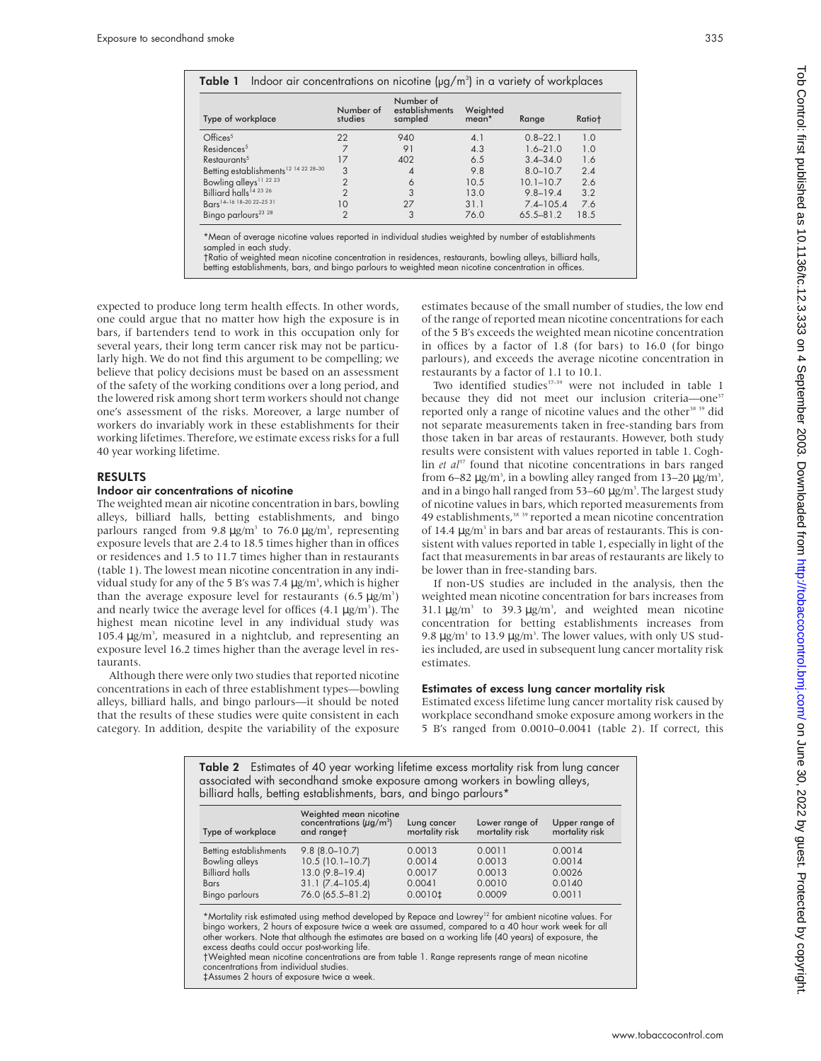| Type of workplace                                | Number of<br>studies | Number of<br>establishments<br>sampled | Weighted<br>$mean*$ | Range         | Ratiot |
|--------------------------------------------------|----------------------|----------------------------------------|---------------------|---------------|--------|
| Offices <sup>5</sup>                             | 22                   | 940                                    | 4.1                 | $0.8 - 22.1$  | 1.0    |
| Residences <sup>5</sup>                          | 7                    | 91                                     | 4.3                 | $1.6 - 21.0$  | 1.0    |
| Restaurants <sup>5</sup>                         | 17                   | 402                                    | 6.5                 | $3.4 - 34.0$  | 1.6    |
| Betting establishments <sup>12</sup> 14 22 28-30 | 3                    | $\overline{\mathcal{A}}$               | 9.8                 | $8.0 - 10.7$  | 2.4    |
| Bowling alleys <sup>11</sup> 22 23               | $\overline{2}$       | 6                                      | 10.5                | $10.1 - 10.7$ | 2.6    |
| Billiard halls <sup>14 23</sup> 26               | $\overline{2}$       | 3                                      | 13.0                | $9.8 - 19.4$  | 3.2    |
| Bars <sup>14-16</sup> 18-20 22-25 31             | 10                   | 27                                     | 31.1                | $7.4 - 105.4$ | 7.6    |
| Bingo parlours <sup>23</sup> 28                  | $\overline{2}$       | 3                                      | 76.0                | $65.5 - 81.2$ | 18.5   |

sampled in each study. †Ratio of weighted mean nicotine concentration in residences, restaurants, bowling alleys, billiard halls, betting establishments, bars, and bingo parlours to weighted mean nicotine concentration in offices.

expected to produce long term health effects. In other words, one could argue that no matter how high the exposure is in bars, if bartenders tend to work in this occupation only for several years, their long term cancer risk may not be particularly high. We do not find this argument to be compelling; we believe that policy decisions must be based on an assessment of the safety of the working conditions over a long period, and the lowered risk among short term workers should not change one's assessment of the risks. Moreover, a large number of workers do invariably work in these establishments for their working lifetimes. Therefore, we estimate excess risks for a full 40 year working lifetime.

# RESULTS

#### Indoor air concentrations of nicotine

The weighted mean air nicotine concentration in bars, bowling alleys, billiard halls, betting establishments, and bingo parlours ranged from 9.8  $\mu$ g/m $^3$  to 76.0  $\mu$ g/m $^3$ , representing exposure levels that are 2.4 to 18.5 times higher than in offices or residences and 1.5 to 11.7 times higher than in restaurants (table 1). The lowest mean nicotine concentration in any individual study for any of the 5 B's was 7.4  $\mu$ g/m<sup>3</sup>, which is higher than the average exposure level for restaurants  $(6.5 \,\mu g/m^3)$ and nearly twice the average level for offices  $(4.1 \text{ }\mu\text{g/m}^3)$ . The highest mean nicotine level in any individual study was 105.4  $\mu$ g/m<sup>3</sup>, measured in a nightclub, and representing an exposure level 16.2 times higher than the average level in restaurants.

Although there were only two studies that reported nicotine concentrations in each of three establishment types—bowling alleys, billiard halls, and bingo parlours—it should be noted that the results of these studies were quite consistent in each category. In addition, despite the variability of the exposure

estimates because of the small number of studies, the low end of the range of reported mean nicotine concentrations for each of the 5 B's exceeds the weighted mean nicotine concentration in offices by a factor of 1.8 (for bars) to 16.0 (for bingo parlours), and exceeds the average nicotine concentration in restaurants by a factor of 1.1 to 10.1.

Two identified studies $37-39$  were not included in table 1 because they did not meet our inclusion criteria-one<sup>37</sup> reported only a range of nicotine values and the other<sup>38 39</sup> did not separate measurements taken in free-standing bars from those taken in bar areas of restaurants. However, both study results were consistent with values reported in table 1. Coghlin *et al*<sup>37</sup> found that nicotine concentrations in bars ranged from 6–82  $\mu$ g/m<sup>3</sup>, in a bowling alley ranged from 13–20  $\mu$ g/m<sup>3</sup>, and in a bingo hall ranged from  $53-60 \mu g/m^3$ . The largest study of nicotine values in bars, which reported measurements from 49 establishments,<sup>38 39</sup> reported a mean nicotine concentration of 14.4  $\mu$ g/m<sup>3</sup> in bars and bar areas of restaurants. This is consistent with values reported in table 1, especially in light of the fact that measurements in bar areas of restaurants are likely to be lower than in free-standing bars.

If non-US studies are included in the analysis, then the weighted mean nicotine concentration for bars increases from 31.1  $\mu$ g/m<sup>3</sup> to 39.3  $\mu$ g/m<sup>3</sup>, and weighted mean nicotine concentration for betting establishments increases from 9.8  $\mu$ g/m<sup>3</sup> to 13.9  $\mu$ g/m<sup>3</sup>. The lower values, with only US studies included, are used in subsequent lung cancer mortality risk estimates.

# Estimates of excess lung cancer mortality risk

Estimated excess lifetime lung cancer mortality risk caused by workplace secondhand smoke exposure among workers in the 5 B's ranged from 0.0010–0.0041 (table 2). If correct, this

Table 2 Estimates of 40 year working lifetime excess mortality risk from lung cancer associated with secondhand smoke exposure among workers in bowling alleys, billiard halls, betting establishments, bars, and bingo parlours\* Type of workplace Weighted mean nicotine concentrations  $(\mu g/m^3)$ and range† Lung cancer mortality risk Lower range of mortality risk Upper range of mortality risk Betting establishments 9.8 (8.0–10.7) 0.0013 0.0011 0.0014<br>Bowling allevs 10.5 (10.1–10.7) 0.0014 0.0013 0.0014 Bowling alleys 10.5 (10.1–10.7) 0.0014 0.0013 0.0014<br>
Billiard halls 13.0 (9.8–19.4) 0.0017 0.0013 0.0026 13.0 (9.8–19.4)

\*Mortality risk estimated using method developed by Repace and Lowrey12 for ambient nicotine values. For bingo workers, 2 hours of exposure twice a week are assumed, compared to a 40 hour work week for all other workers. Note that although the estimates are based on a working life (40 years) of exposure, the excess deaths could occur post-working life.

†Weighted mean nicotine concentrations are from table 1. Range represents range of mean nicotine concentrations from individual studies.

Bars 31.1 (7.4–105.4) 0.0041 0.0010 0.0140 Bingo parlours 76.0 (65.5–81.2) 0.0010‡ 0.0009 0.0011

‡Assumes 2 hours of exposure twice a week.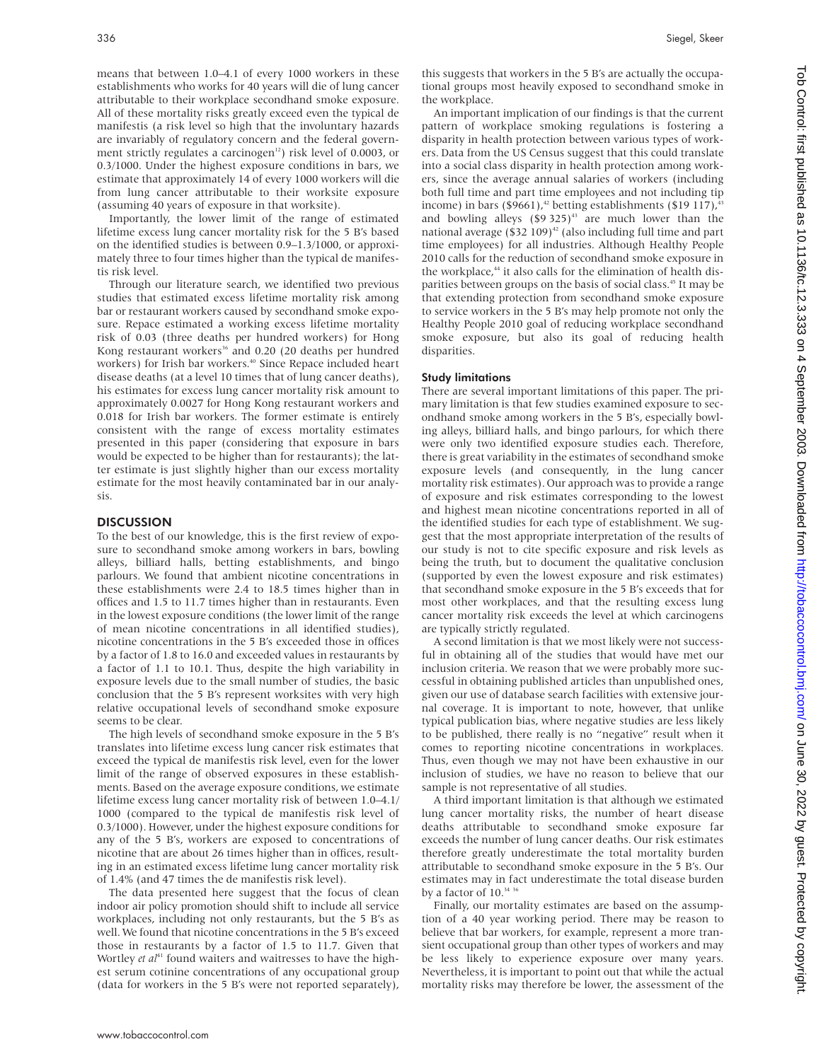means that between 1.0–4.1 of every 1000 workers in these establishments who works for 40 years will die of lung cancer attributable to their workplace secondhand smoke exposure. All of these mortality risks greatly exceed even the typical de manifestis (a risk level so high that the involuntary hazards are invariably of regulatory concern and the federal government strictly regulates a carcinogen<sup>12</sup>) risk level of 0.0003, or 0.3/1000. Under the highest exposure conditions in bars, we estimate that approximately 14 of every 1000 workers will die from lung cancer attributable to their worksite exposure (assuming 40 years of exposure in that worksite).

Importantly, the lower limit of the range of estimated lifetime excess lung cancer mortality risk for the 5 B's based on the identified studies is between 0.9–1.3/1000, or approximately three to four times higher than the typical de manifestis risk level.

Through our literature search, we identified two previous studies that estimated excess lifetime mortality risk among bar or restaurant workers caused by secondhand smoke exposure. Repace estimated a working excess lifetime mortality risk of 0.03 (three deaths per hundred workers) for Hong Kong restaurant workers<sup>36</sup> and 0.20 (20 deaths per hundred workers) for Irish bar workers.<sup>40</sup> Since Repace included heart disease deaths (at a level 10 times that of lung cancer deaths), his estimates for excess lung cancer mortality risk amount to approximately 0.0027 for Hong Kong restaurant workers and 0.018 for Irish bar workers. The former estimate is entirely consistent with the range of excess mortality estimates presented in this paper (considering that exposure in bars would be expected to be higher than for restaurants); the latter estimate is just slightly higher than our excess mortality estimate for the most heavily contaminated bar in our analysis.

# **DISCUSSION**

To the best of our knowledge, this is the first review of exposure to secondhand smoke among workers in bars, bowling alleys, billiard halls, betting establishments, and bingo parlours. We found that ambient nicotine concentrations in these establishments were 2.4 to 18.5 times higher than in offices and 1.5 to 11.7 times higher than in restaurants. Even in the lowest exposure conditions (the lower limit of the range of mean nicotine concentrations in all identified studies), nicotine concentrations in the 5 B's exceeded those in offices by a factor of 1.8 to 16.0 and exceeded values in restaurants by a factor of 1.1 to 10.1. Thus, despite the high variability in exposure levels due to the small number of studies, the basic conclusion that the 5 B's represent worksites with very high relative occupational levels of secondhand smoke exposure seems to be clear.

The high levels of secondhand smoke exposure in the 5 B's translates into lifetime excess lung cancer risk estimates that exceed the typical de manifestis risk level, even for the lower limit of the range of observed exposures in these establishments. Based on the average exposure conditions, we estimate lifetime excess lung cancer mortality risk of between 1.0–4.1/ 1000 (compared to the typical de manifestis risk level of 0.3/1000). However, under the highest exposure conditions for any of the 5 B's, workers are exposed to concentrations of nicotine that are about 26 times higher than in offices, resulting in an estimated excess lifetime lung cancer mortality risk of 1.4% (and 47 times the de manifestis risk level).

The data presented here suggest that the focus of clean indoor air policy promotion should shift to include all service workplaces, including not only restaurants, but the 5 B's as well. We found that nicotine concentrations in the 5 B's exceed those in restaurants by a factor of 1.5 to 11.7. Given that Wortley *et al*<sup>41</sup> found waiters and waitresses to have the highest serum cotinine concentrations of any occupational group (data for workers in the 5 B's were not reported separately),

336 Siegel, Skeer

this suggests that workers in the 5 B's are actually the occupational groups most heavily exposed to secondhand smoke in the workplace.

An important implication of our findings is that the current pattern of workplace smoking regulations is fostering a disparity in health protection between various types of workers. Data from the US Census suggest that this could translate into a social class disparity in health protection among workers, since the average annual salaries of workers (including both full time and part time employees and not including tip income) in bars (\$9661),<sup>42</sup> betting establishments (\$19 117),<sup>4</sup> and bowling alleys  $(\$9 325)^{43}$  are much lower than the national average (\$32 109)<sup>42</sup> (also including full time and part time employees) for all industries. Although Healthy People 2010 calls for the reduction of secondhand smoke exposure in the workplace,<sup>44</sup> it also calls for the elimination of health disparities between groups on the basis of social class.<sup>45</sup> It may be that extending protection from secondhand smoke exposure to service workers in the 5 B's may help promote not only the Healthy People 2010 goal of reducing workplace secondhand smoke exposure, but also its goal of reducing health disparities.

# Study limitations

There are several important limitations of this paper. The primary limitation is that few studies examined exposure to secondhand smoke among workers in the 5 B's, especially bowling alleys, billiard halls, and bingo parlours, for which there were only two identified exposure studies each. Therefore, there is great variability in the estimates of secondhand smoke exposure levels (and consequently, in the lung cancer mortality risk estimates). Our approach was to provide a range of exposure and risk estimates corresponding to the lowest and highest mean nicotine concentrations reported in all of the identified studies for each type of establishment. We suggest that the most appropriate interpretation of the results of our study is not to cite specific exposure and risk levels as being the truth, but to document the qualitative conclusion (supported by even the lowest exposure and risk estimates) that secondhand smoke exposure in the 5 B's exceeds that for most other workplaces, and that the resulting excess lung cancer mortality risk exceeds the level at which carcinogens are typically strictly regulated.

A second limitation is that we most likely were not successful in obtaining all of the studies that would have met our inclusion criteria. We reason that we were probably more successful in obtaining published articles than unpublished ones, given our use of database search facilities with extensive journal coverage. It is important to note, however, that unlike typical publication bias, where negative studies are less likely to be published, there really is no "negative" result when it comes to reporting nicotine concentrations in workplaces. Thus, even though we may not have been exhaustive in our inclusion of studies, we have no reason to believe that our sample is not representative of all studies.

A third important limitation is that although we estimated lung cancer mortality risks, the number of heart disease deaths attributable to secondhand smoke exposure far exceeds the number of lung cancer deaths. Our risk estimates therefore greatly underestimate the total mortality burden attributable to secondhand smoke exposure in the 5 B's. Our estimates may in fact underestimate the total disease burden by a factor of  $10^{34}$ 

Finally, our mortality estimates are based on the assumption of a 40 year working period. There may be reason to believe that bar workers, for example, represent a more transient occupational group than other types of workers and may be less likely to experience exposure over many years. Nevertheless, it is important to point out that while the actual mortality risks may therefore be lower, the assessment of the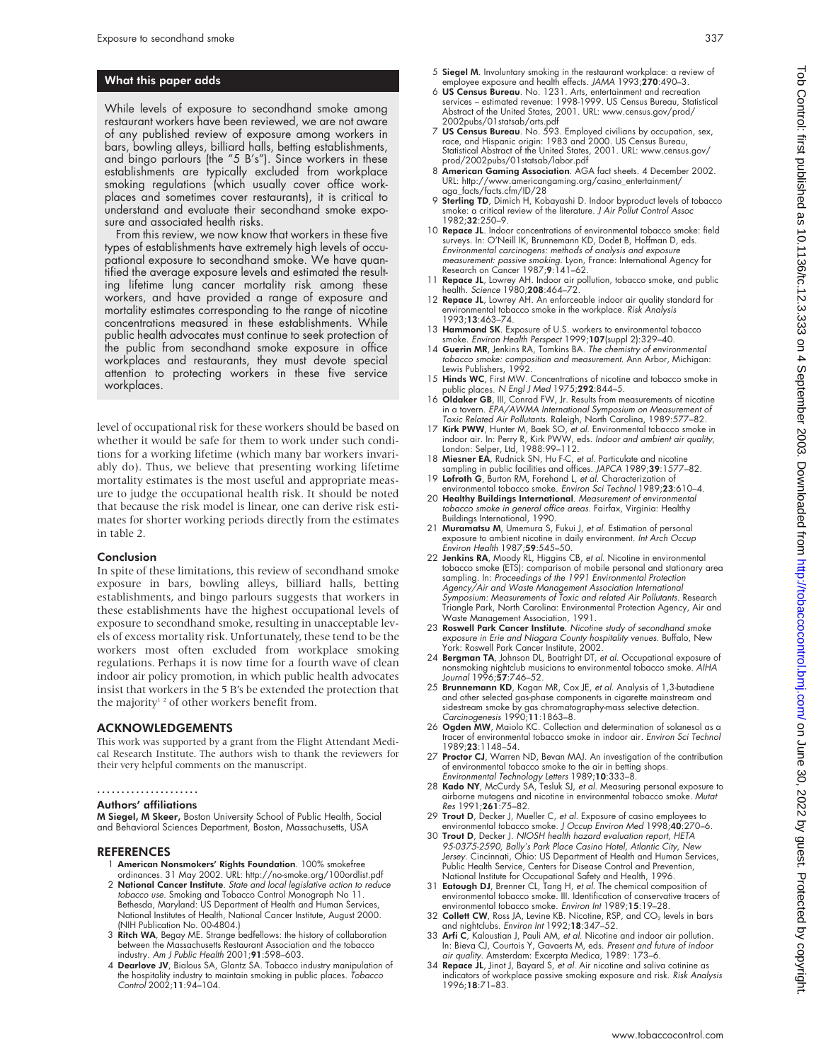# What this paper adds

While levels of exposure to secondhand smoke among restaurant workers have been reviewed, we are not aware of any published review of exposure among workers in bars, bowling alleys, billiard halls, betting establishments, and bingo parlours (the "5 B's"). Since workers in these establishments are typically excluded from workplace smoking regulations (which usually cover office workplaces and sometimes cover restaurants), it is critical to understand and evaluate their secondhand smoke exposure and associated health risks.

From this review, we now know that workers in these five types of establishments have extremely high levels of occupational exposure to secondhand smoke. We have quantified the average exposure levels and estimated the resulting lifetime lung cancer mortality risk among these workers, and have provided a range of exposure and mortality estimates corresponding to the range of nicotine concentrations measured in these establishments. While public health advocates must continue to seek protection of the public from secondhand smoke exposure in office workplaces and restaurants, they must devote special attention to protecting workers in these five service workplaces.

level of occupational risk for these workers should be based on whether it would be safe for them to work under such conditions for a working lifetime (which many bar workers invariably do). Thus, we believe that presenting working lifetime mortality estimates is the most useful and appropriate measure to judge the occupational health risk. It should be noted that because the risk model is linear, one can derive risk estimates for shorter working periods directly from the estimates in table 2.

## Conclusion

In spite of these limitations, this review of secondhand smoke exposure in bars, bowling alleys, billiard halls, betting establishments, and bingo parlours suggests that workers in these establishments have the highest occupational levels of exposure to secondhand smoke, resulting in unacceptable levels of excess mortality risk. Unfortunately, these tend to be the workers most often excluded from workplace smoking regulations. Perhaps it is now time for a fourth wave of clean indoor air policy promotion, in which public health advocates insist that workers in the 5 B's be extended the protection that the majority<sup>12</sup> of other workers benefit from.

## ACKNOWLEDGEMENTS

This work was supported by a grant from the Flight Attendant Medical Research Institute. The authors wish to thank the reviewers for their very helpful comments on the manuscript.

#### .....................

#### Authors' affiliations

M Siegel, M Skeer, Boston University School of Public Health, Social and Behavioral Sciences Department, Boston, Massachusetts, USA

#### REFERENCES

- 1 American Nonsmokers' Rights Foundation. 100% smokefree ordinances. 31 May 2002. URL: http://no-smoke.org/100ordlist.pdf
- 2 **National Cancer Institute**. *State and local legislative action to reduce*<br>tobacco use. Smoking and Tobacco Control Monograph No 11. Bethesda, Maryland: US Department of Health and Human Services, National Institutes of Health, National Cancer Institute, August 2000. (NIH Publication No. 00-4804.)
- 3 Ritch WA, Begay ME. Strange bedfellows: the history of collaboration between the Massachusetts Restaurant Association and the tobacco industry. Am J Public Health 2001;91:598–603.
- 4 Dearlove JV, Bialous SA, Glantz SA. Tobacco industry manipulation of the hospitality industry to maintain smoking in public places. Tobacco Control 2002;11:94–104.
- 6 US Census Bureau. No. 1231. Arts, entertainment and recreation services – estimated revenue: 1998-1999. US Census Bureau, Statistical Abstract of the United States, 2001. URL: www.census.gov/prod/
- 2002pubs/01 statsab/arts.pdf<br>7 **US Census Bureau**. No. 593. Employed civilians by occupation, sex, race, and Hispanic origin: 1983 and 2000. US Census Bureau, Statistical Abstract of the United States, 2001. URL: www.census.gov/ prod/2002pubs/01statsab/labor.pdf
- 8 American Gaming Association. AGA fact sheets. 4 December 2002. URL: http://www.americangaming.org/casino\_entertainment/ aga\_facts/facts.cfm/ID/28
- 9 Sterling TD, Dimich H, Kobayashi D. Indoor byproduct levels of tobacco smoke: a critical review of the literature. J Air Pollut Control Assoc 1982;32:250–9.
- 10 Repace JL. Indoor concentrations of environmental tobacco smoke: field surveys. In: O'Neill IK, Brunnemann KD, Dodet B, Hoffman D, eds. Environmental carcinogens: methods of analysis and exposure measurement: passive smoking. Lyon, France: International Agency for Research on Cancer 1987;9:141–62.
- 11 Repace JL, Lowrey AH. Indoor air pollution, tobacco smoke, and public health. Science 1980;208:464-72.
- 12 Repace JL, Lowrey AH. An enforceable indoor air quality standard for environmental tobacco smoke in the workplace. Risk Analysis 1993;13:463–74.
- 13 Hammond SK. Exposure of U.S. workers to environmental tobacco smoke. Environ Health Perspect 1999;107(suppl 2):329–40.
- 14 Guerin MR, Jenkins RA, Tomkins BA. The chemistry of environmental tobacco smoke: composition and measurement. Ann Arbor, Michigan: Lewis Publishers, 1992.
- 15 Hinds WC, First MW. Concentrations of nicotine and tobacco smoke in public places. N Engl J Med 1975;292:844–5.
- 16 Oldaker GB, III, Conrad FW, Jr. Results from measurements of nicotine in a tavern. EPA/AWMA International Symposium on Measurement of
- Toxic Related Air Pollutants. Raleigh, North Carolina, 1989:577–82. 17 Kirk PWW, Hunter M, Baek SO, et al. Environmental tobacco smoke in indoor air. In: Perry R, Kirk PWW, eds. Indoor and ambient air quality, London: Selper, Ltd, 1988:99–112.
- 18 Miesner EA, Rudnick SN, Hu F-C, et al. Particulate and nicotine sampling in public facilities and offices. JAPCA 1989;39:1577–82.
- 19 Lofroth G, Burton RM, Forehand L, et al. Characterization of environmental tobacco smoke. Environ Sci Technol 1989;23:610–4.
- 20 Healthy Buildings International. Measurement of environmental tobacco smoke in general office areas. Fairfax, Virginia: Healthy Buildings International, 1990.
- 21 Muramatsu M, Umemura S, Fukui J, et al. Estimation of personal exposure to ambient nicotine in daily environment. Int Arch Occup Environ Health 1987;59:545–50.
- 22 Jenkins RA, Moody RL, Higgins CB, et al. Nicotine in environmental tobacco smoke (ETS): comparison of mobile personal and stationary area sampling. In: Proceedings of the 1991 Environmental Protection Agency/Air and Waste Management Association International Symposium: Measurements of Toxic and related Air Pollutants. Research Triangle Park, North Carolina: Environmental Protection Agency, Air and Waste Management Association, 1991.
- 23 Roswell Park Cancer Institute. Nicotine study of secondhand smoke exposure in Erie and Niagara County hospitality venues. Buffalo, New York: Roswell Park Cancer Institute, 2002.
- 24 Bergman TA, Johnson DL, Boatright DT, et al. Occupational exposure of nonsmoking nightclub musicians to environmental tobacco smoke. AIHA Journal 1996;57:746–52.
- 25 Brunnemann KD, Kagan MR, Cox JE, et al. Analysis of 1,3-butadiene and other selected gas-phase components in cigarette mainstream and sidestream smoke by gas chromatography-mass selective detection. Carcinogenesis 1990;11:1863–8.
- 26 Ogden MW, Maiolo KC. Collection and determination of solanesol as a tracer of environmental tobacco smoke in indoor air. Environ Sci Technol 1989;23:1148–54.
- 27 Proctor CJ, Warren ND, Bevan MAJ. An investigation of the contribution of environmental tobacco smoke to the air in betting shops. Environmental Technology Letters 1989;10:333–8.
- 28 Kado NY, McCurdy SA, Tesluk SJ, et al. Measuring personal exposure to airborne mutagens and nicotine in environmental tobacco smoke. Mutat Res 1991;261:75–82.
- 29 Trout D, Decker J, Mueller C, et al. Exposure of casino employees to environmental tobacco smoke. J Occup Environ Med 1998;40:270–6.
- 30 Trout D, Decker J. NIOSH health hazard evaluation report, HETA 95-0375-2590, Bally's Park Place Casino Hotel, Atlantic City, New Jersey. Cincinnati, Ohio: US Department of Health and Human Services, Public Health Service, Centers for Disease Control and Prevention, National Institute for Occupational Safety and Health, 1996.
- 31 Eatough DJ, Brenner CL, Tang H, et al. The chemical composition of environmental tobacco smoke. III. Identification of conservative tracers of<br>environmental tobacco smoke. *Environ Int* 1989;**15**:19–28.
- 32 Collett CW, Ross JA, Levine KB. Nicotine, RSP, and CO<sub>2</sub> levels in bars
- and nightclubs. Environ Int 1992;**18**:347–52.<br>33 **Arfi C**, Kaloustian J, Pauli AM, *et al*. Nicotine and indoor air pollution.<br>In: Bieva CJ, Courtois Y, Gavaerts M, eds. *Present and future of indoor* air quality. Amsterdam: Excerpta Medica, 1989: 173–6.
- 34 Repace JL, Jinot J, Bayard S, et al. Air nicotine and saliva cotinine as indicators of workplace passive smoking exposure and risk. Risk Analysis 1996;18:71–83.